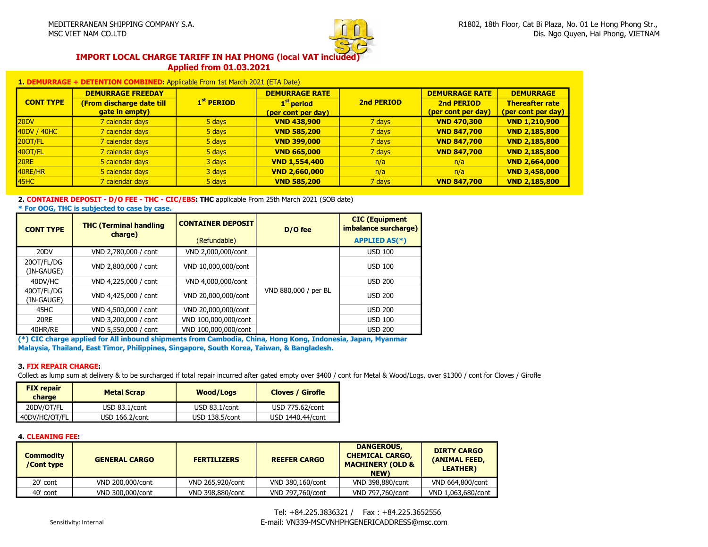

#### IMPORT LOCAL CHARGE TARIFF IN HAI PHONG (local VAT included) Applied from 01.03.2021

| <b>NED:</b> Applicable From 1st March 2021 (ETA Date) |                          |  |                       |         |                       |                  |
|-------------------------------------------------------|--------------------------|--|-----------------------|---------|-----------------------|------------------|
|                                                       | <b>DEMURRAGE FREEDAY</b> |  | <b>DEMURRAGE RATE</b> |         | <b>DEMURRAGE RATE</b> | <b>DEMURRAGE</b> |
| ___________                                           |                          |  |                       | _______ |                       |                  |

|                  | DEMORRAGE FREEDAT                         |                                      | DEMURRANE RATE       | <i>UEPIURRANE RATE</i> | DEMURRANE          |                      |
|------------------|-------------------------------------------|--------------------------------------|----------------------|------------------------|--------------------|----------------------|
| <b>CONT TYPE</b> | $1st$ PERIOD<br>(From discharge date till | 2nd PERIOD<br>1 <sup>st</sup> period | 2nd PERIOD           | <b>Thereafter rate</b> |                    |                      |
|                  | gate in empty)                            |                                      | (per cont per day)   |                        | (per cont per day) | (per cont per day)   |
| 20DV             | 7 calendar days                           | 5 days                               | <b>VND 438,900</b>   | 7 days                 | <b>VND 470,300</b> | <b>VND 1,210,900</b> |
| 40DV / 40HC      | 7 calendar days                           | 5 days                               | <b>VND 585,200</b>   | 7 days                 | <b>VND 847,700</b> | <b>VND 2,185,800</b> |
| 20OT/FL          | 7 calendar days                           | 5 days                               | <b>VND 399,000</b>   | 7 days                 | <b>VND 847,700</b> | <b>VND 2.185.800</b> |
| 40OT/FL          | 7 calendar days                           | 5 days                               | <b>VND 665,000</b>   | 7 days                 | <b>VND 847,700</b> | <b>VND 2,185,800</b> |
| 20RE             | 5 calendar days                           | 3 days                               | <b>VND 1,554,400</b> | n/a                    | n/a                | <b>VND 2,664,000</b> |
| 40RE/HR          | 5 calendar days                           | 3 days                               | <b>VND 2,660,000</b> | n/a                    | n/a                | <b>VND 3,458,000</b> |
| 45HC             | 7 calendar days                           | 5 days                               | <b>VND 585,200</b>   | 7 days                 | <b>VND 847,700</b> | <b>VND 2,185,800</b> |
|                  |                                           |                                      |                      |                        |                    |                      |

#### 2. CONTAINER DEPOSIT - D/O FEE - THC - CIC/EBS: THC applicable From 25th March 2021 (SOB date)

\* For OOG, THC is subjected to case by case.

| <b>CONT TYPE</b>         | <b>THC (Terminal handling</b><br>charge) | <b>CONTAINER DEPOSIT</b> | D/O fee              | <b>CIC</b> (Equipment<br>imbalance surcharge) |
|--------------------------|------------------------------------------|--------------------------|----------------------|-----------------------------------------------|
|                          |                                          | (Refundable)             |                      | <b>APPLIED AS(*)</b>                          |
| 20DV                     | VND 2,780,000 / cont                     | VND 2,000,000/cont       |                      | <b>USD 100</b>                                |
| 200T/FL/DG<br>(IN-GAUGE) | VND 2,800,000 / cont                     | VND 10,000,000/cont      |                      | <b>USD 100</b>                                |
| 40DV/HC                  | VND 4,225,000 / cont                     | VND 4,000,000/cont       |                      | <b>USD 200</b>                                |
| 400T/FL/DG<br>(IN-GAUGE) | VND 4,425,000 / cont                     | VND 20,000,000/cont      | VND 880,000 / per BL | <b>USD 200</b>                                |
| 45HC                     | VND 4,500,000 / cont                     | VND 20,000,000/cont      |                      | <b>USD 200</b>                                |
| 20RE                     | VND 3,200,000 / cont                     | VND 100,000,000/cont     |                      | <b>USD 100</b>                                |
| 40HR/RE                  | VND 5,550,000 / cont                     | VND 100,000,000/cont     |                      | <b>USD 200</b>                                |

(\*) CIC charge applied for All inbound shipments from Cambodia, China, Hong Kong, Indonesia, Japan, Myanmar Malaysia, Thailand, East Timor, Philippines, Singapore, South Korea, Taiwan, & Bangladesh.

#### 3. FIX REPAIR CHARGE:

Collect as lump sum at delivery & to be surcharged if total repair incurred after gated empty over \$400 / cont for Metal & Wood/Logs, over \$1300 / cont for Cloves / Girofle

| <b>FIX repair</b><br><b>Metal Scrap</b><br>charge |                  | Wood/Logs        | <b>Cloves / Girofle</b> |  |
|---------------------------------------------------|------------------|------------------|-------------------------|--|
| 20DV/OT/FL                                        | USD $83.1$ /cont | USD $83.1$ /cont | USD 775.62/cont         |  |
| 40DV/HC/OT/FL                                     | USD 166.2/cont   | USD 138.5/cont   | USD 1440.44/cont        |  |

#### 4. CLEANING FEE:

| <b>Commodity</b><br>/Cont type | <b>GENERAL CARGO</b> | <b>FERTILIZERS</b> | <b>REEFER CARGO</b> | <b>DANGEROUS,</b><br><b>CHEMICAL CARGO,</b><br><b>MACHINERY (OLD &amp;</b><br>NEW) | <b>DIRTY CARGO</b><br>(ANIMAL FEED,<br><b>LEATHER</b> ) |
|--------------------------------|----------------------|--------------------|---------------------|------------------------------------------------------------------------------------|---------------------------------------------------------|
| 20' cont                       | VND 200,000/cont     | VND 265.920/cont   | VND 380,160/cont    | VND 398.880/cont                                                                   | VND 664,800/cont                                        |
| 40' cont                       | VND 300,000/cont     | VND 398.880/cont   | VND 797.760/cont    | VND 797.760/cont                                                                   | VND 1.063.680/cont                                      |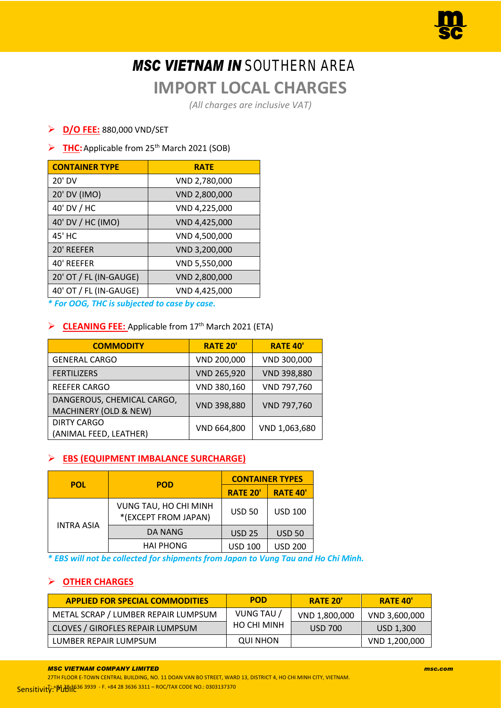# *MSC VIETNAM IN* SOUTHERN AREA

# **IMPORT LOCAL CHARGES**

*(All charges are inclusive VAT)*

## ➢ **D/O FEE:** 880,000 VND/SET

## ➢ **THC:**Applicable from 25th March 2021 (SOB)

| <b>CONTAINER TYPE</b>  | <b>RATE</b>   |
|------------------------|---------------|
| 20' DV                 | VND 2,780,000 |
| 20' DV (IMO)           | VND 2,800,000 |
| 40' DV / HC            | VND 4,225,000 |
| 40' DV / HC (IMO)      | VND 4,425,000 |
| 45' HC                 | VND 4,500,000 |
| 20' REEFER             | VND 3,200,000 |
| 40' REEFER             | VND 5,550,000 |
| 20' OT / FL (IN-GAUGE) | VND 2,800,000 |
| 40' OT / FL (IN-GAUGE) | VND 4,425,000 |

*\* For OOG, THC is subjected to case by case.*

#### ➢ **CLEANING FEE:** Applicable from 17th March 2021 (ETA)

| <b>COMMODITY</b>                                    | <b>RATE 20'</b> | <b>RATE 40'</b> |
|-----------------------------------------------------|-----------------|-----------------|
| <b>GENERAL CARGO</b>                                | VND 200,000     | VND 300,000     |
| <b>FERTILIZERS</b>                                  | VND 265,920     | VND 398,880     |
| <b>REEFER CARGO</b>                                 | VND 380,160     | VND 797,760     |
| DANGEROUS, CHEMICAL CARGO,<br>MACHINERY (OLD & NEW) | VND 398,880     | VND 797,760     |
| <b>DIRTY CARGO</b><br>(ANIMAL FEED, LEATHER)        | VND 664,800     | VND 1,063,680   |

## ➢ **EBS (EQUIPMENT IMBALANCE SURCHARGE)**

| <b>POL</b>        | <b>POD</b>                                    | <b>CONTAINER TYPES</b> |                 |  |
|-------------------|-----------------------------------------------|------------------------|-----------------|--|
|                   |                                               | <b>RATE 20'</b>        | <b>RATE 40'</b> |  |
|                   | VUNG TAU, HO CHI MINH<br>*(EXCEPT FROM JAPAN) | <b>USD 50</b>          | <b>USD 100</b>  |  |
| <b>INTRA ASIA</b> | DA NANG                                       | <b>USD 25</b>          | <b>USD 50</b>   |  |
|                   | <b>HAI PHONG</b>                              | <b>USD 100</b>         | <b>USD 200</b>  |  |

*\* EBS will not be collected for shipments from Japan to Vung Tau and Ho Chi Minh.*

## ➢ **OTHER CHARGES**

| <b>APPLIED FOR SPECIAL COMMODITIES</b> | <b>POD</b>         | <b>RATE 20'</b> | <b>RATE 40'</b> |
|----------------------------------------|--------------------|-----------------|-----------------|
| METAL SCRAP / LUMBER REPAIR LUMPSUM    | VUNG TAU /         | VND 1,800,000   | VND 3,600,000   |
| CLOVES / GIROFLES REPAIR LUMPSUM       | <b>HO CHI MINH</b> | <b>USD 700</b>  | USD 1,300       |
| LUMBER REPAIR LUMPSUM                  | QUI NHON           |                 | VND 1,200,000   |

*MSC VIETNAM COMPANY LIMITED msc.com*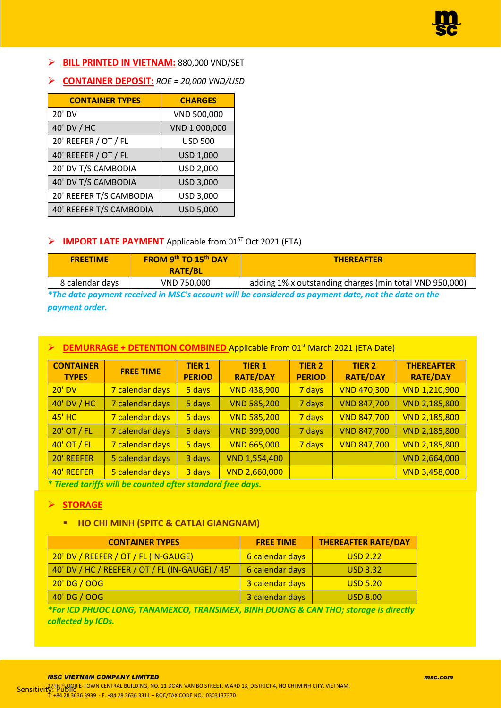

- ➢ **BILL PRINTED IN VIETNAM:** 880,000 VND/SET
- ➢ **CONTAINER DEPOSIT:** *ROE = 20,000 VND/USD*

| <b>CONTAINER TYPES</b>  | <b>CHARGES</b>   |
|-------------------------|------------------|
| 20' DV                  | VND 500,000      |
| 40' DV / HC             | VND 1,000,000    |
| 20' REEFER / OT / FL    | <b>USD 500</b>   |
| 40' REEFER / OT / FL    | USD 1,000        |
| 20' DV T/S CAMBODIA     | USD 2,000        |
| 40' DV T/S CAMBODIA     | USD 3,000        |
| 20' REEFER T/S CAMBODIA | USD 3,000        |
| 40' REEFER T/S CAMBODIA | <b>USD 5,000</b> |

#### ➢ **IMPORT LATE PAYMENT** Applicable from 01ST Oct 2021 (ETA)

| <b>FREETIME</b> | FROM 9th TO 15th DAY<br><b>RATE/BL</b>                                                  | <b>THEREAFTER</b>                                       |  |  |  |
|-----------------|-----------------------------------------------------------------------------------------|---------------------------------------------------------|--|--|--|
| 8 calendar days | VND 750,000                                                                             | adding 1% x outstanding charges (min total VND 950,000) |  |  |  |
|                 | 发生性 计可能性 医无心病 医血管 医血清性血清 化二氯基乙基基 医血管中心 医眼镜 机电子 医血管切除术 计二进制 医血管切除术 医血管切除术 计数据 医血管切除术 医心室 |                                                         |  |  |  |

*\*The date payment received in MSC's account will be considered as payment date, not the date on the payment order.*

#### **DEMURRAGE + DETENTION COMBINED** Applicable From 01<sup>st</sup> March 2021 (ETA Date)

| <b>CONTAINER</b><br><b>TYPES</b> | <b>FREE TIME</b> | <b>TIER 1</b><br><b>PERIOD</b> | <b>TIER 1</b><br><b>RATE/DAY</b> | <b>TIER 2</b><br><b>PERIOD</b> | <b>TIER 2</b><br><b>RATE/DAY</b> | <b>THEREAFTER</b><br><b>RATE/DAY</b> |
|----------------------------------|------------------|--------------------------------|----------------------------------|--------------------------------|----------------------------------|--------------------------------------|
| <b>20' DV</b>                    | 7 calendar days  | 5 days                         | <b>VND 438,900</b>               | 7 days                         | <b>VND 470,300</b>               | <b>VND 1,210,900</b>                 |
| 40' DV / HC                      | 7 calendar days  | 5 days                         | <b>VND 585,200</b>               | 7 days                         | <b>VND 847,700</b>               | VND 2,185,800                        |
| <b>45' HC</b>                    | 7 calendar days  | 5 days                         | <b>VND 585,200</b>               | 7 days                         | <b>VND 847,700</b>               | <b>VND 2,185,800</b>                 |
| 20' OT / FL                      | 7 calendar days  | 5 days                         | <b>VND 399,000</b>               | 7 days                         | <b>VND 847,700</b>               | VND 2,185,800                        |
| 40' OT / FL                      | 7 calendar days  | 5 days                         | <b>VND 665,000</b>               | 7 days                         | <b>VND 847,700</b>               | <b>VND 2,185,800</b>                 |
| 20' REEFER                       | 5 calendar days  | 3 days                         | VND 1,554,400                    |                                |                                  | VND 2,664,000                        |
| 40' REEFER                       | 5 calendar days  | 3 days                         | <b>VND 2,660,000</b>             |                                |                                  | <b>VND 3,458,000</b>                 |

*\* Tiered tariffs will be counted after standard free days.*

#### ➢ **STORAGE**

#### ▪ **HO CHI MINH (SPITC & CATLAI GIANGNAM)**

| <b>CONTAINER TYPES</b>                          | <b>FREE TIME</b> | <b>THEREAFTER RATE/DAY</b> |
|-------------------------------------------------|------------------|----------------------------|
| 20' DV / REEFER / OT / FL (IN-GAUGE)            | 6 calendar days  | <b>USD 2.22</b>            |
| 40' DV / HC / REEFER / OT / FL (IN-GAUGE) / 45' | 6 calendar days  | <b>USD 3.32</b>            |
| 20'DG / 00G                                     | 3 calendar days  | <b>USD 5.20</b>            |
| 40'DG / 00G                                     | 3 calendar days  | <b>USD 8.00</b>            |

*\*For ICD PHUOC LONG, TANAMEXCO, TRANSIMEX, BINH DUONG & CAN THO; storage is directly collected by ICDs.*